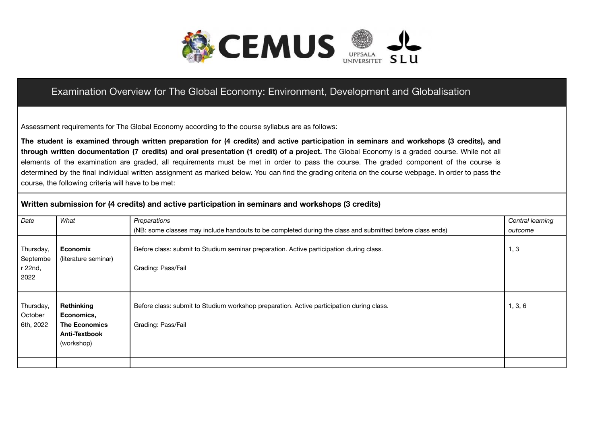

## Examination Overview for The Global Economy: Environment, Development and Globalisation

Assessment requirements for The Global Economy according to the course syllabus are as follows:

The student is examined through written preparation for (4 credits) and active participation in seminars and workshops (3 credits), and through written documentation (7 credits) and oral presentation (1 credit) of a project. The Global Economy is a graded course. While not all elements of the examination are graded, all requirements must be met in order to pass the course. The graded component of the course is determined by the final individual written assignment as marked below. You can find the grading criteria on the course webpage. In order to pass the course, the following criteria will have to be met:

| Written submission for (4 credits) and active participation in seminars and workshops (3 credits) |  |  |  |  |
|---------------------------------------------------------------------------------------------------|--|--|--|--|
|                                                                                                   |  |  |  |  |

| Date                                     | What                                                                            | Preparations                                                                                                   | Central learning |  |  |
|------------------------------------------|---------------------------------------------------------------------------------|----------------------------------------------------------------------------------------------------------------|------------------|--|--|
|                                          |                                                                                 | (NB: some classes may include handouts to be completed during the class and submitted before class ends)       | outcome          |  |  |
| Thursday,<br>Septembe<br>r 22nd,<br>2022 | Economix<br>(literature seminar)                                                | Before class: submit to Studium seminar preparation. Active participation during class.<br>Grading: Pass/Fail  | 1, 3             |  |  |
| Thursday,<br>October<br>6th, 2022        | Rethinking<br>Economics,<br><b>The Economics</b><br>Anti-Textbook<br>(workshop) | Before class: submit to Studium workshop preparation. Active participation during class.<br>Grading: Pass/Fail | 1, 3, 6          |  |  |
|                                          |                                                                                 |                                                                                                                |                  |  |  |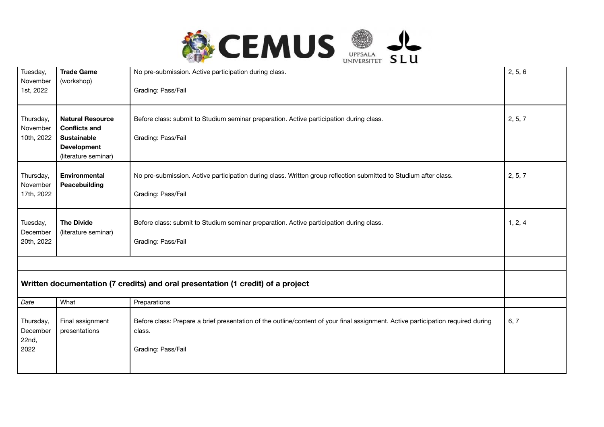

| Tuesday,<br>November<br>1st, 2022                                               | <b>Trade Game</b><br>(workshop)                                                                                     | No pre-submission. Active participation during class.<br>Grading: Pass/Fail                                                                                      | 2, 5, 6 |  |
|---------------------------------------------------------------------------------|---------------------------------------------------------------------------------------------------------------------|------------------------------------------------------------------------------------------------------------------------------------------------------------------|---------|--|
| Thursday,<br>November<br>10th, 2022                                             | <b>Natural Resource</b><br><b>Conflicts and</b><br><b>Sustainable</b><br><b>Development</b><br>(literature seminar) | Before class: submit to Studium seminar preparation. Active participation during class.<br>2, 5, 7<br>Grading: Pass/Fail                                         |         |  |
| Thursday,<br>November<br>17th, 2022                                             | <b>Environmental</b><br>Peacebuilding                                                                               | No pre-submission. Active participation during class. Written group reflection submitted to Studium after class.<br>Grading: Pass/Fail                           | 2, 5, 7 |  |
| Tuesday,<br>December<br>20th, 2022                                              | <b>The Divide</b><br>(literature seminar)                                                                           | Before class: submit to Studium seminar preparation. Active participation during class.<br>Grading: Pass/Fail                                                    | 1, 2, 4 |  |
|                                                                                 |                                                                                                                     |                                                                                                                                                                  |         |  |
| Written documentation (7 credits) and oral presentation (1 credit) of a project |                                                                                                                     |                                                                                                                                                                  |         |  |
| Date                                                                            | What                                                                                                                | Preparations                                                                                                                                                     |         |  |
| Thursday,<br>December<br>22nd,<br>2022                                          | Final assignment<br>presentations                                                                                   | Before class: Prepare a brief presentation of the outline/content of your final assignment. Active participation required during<br>class.<br>Grading: Pass/Fail | 6, 7    |  |